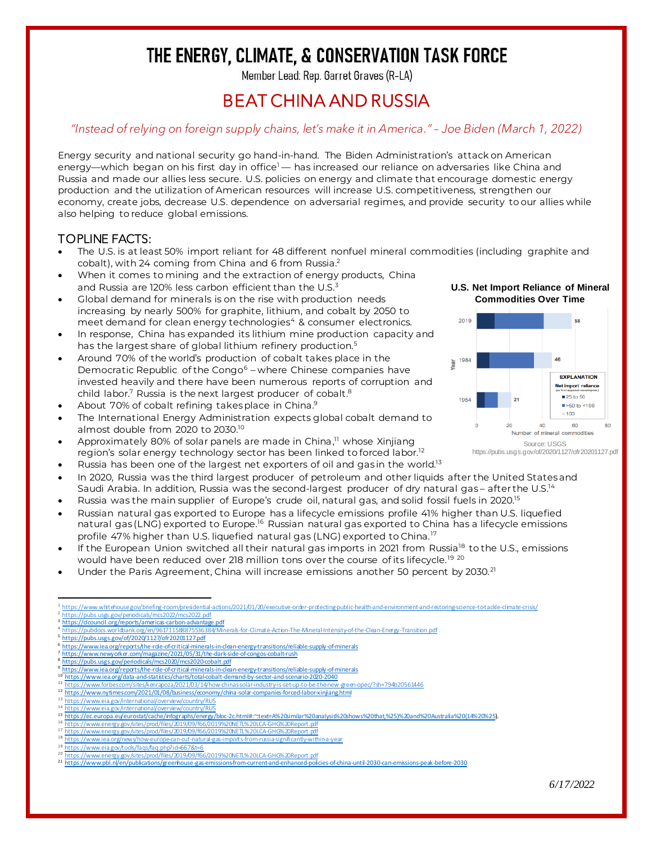# THE ENERGY, CLIMATE, & CONSERVATION TASK FORCE

Member Lead: Rep. Garret Graves (R-LA)

### BEAT CHINA AND RUSSIA

### *"Instead of relying on foreign supply chains, let's make it in America." – Joe Biden (March 1, 2022)*

Energy security and national security go hand-in-hand. The Biden Administration's attack on American energy—which began on his first day in office<sup>1</sup> — has increased our reliance on adversaries like China and Russia and made our allies less secure. U.S. policies on energy and climate that encourage domestic energy production and the utilization of American resources will increase U.S. competitiveness, strengthen our economy, create jobs, decrease U.S. dependence on adversarial regimes, and provide security to our allies while also helping to reduce global emissions.

### TOPLINE FACTS:

- The U.S. is at least 50% import reliant for 48 different nonfuel mineral commodities (including graphite and cobalt), with 24 coming from China and 6 from Russia.<sup>2</sup>
- When it comes to mining and the extraction of energy products, China and Russia are 120% less carbon efficient than the U.S.<sup>3</sup>
- Global demand for minerals is on the rise with production needs increasing by nearly 500% for graphite, lithium, and cobalt by 2050 to meet demand for clean energy technologies<sup>4</sup> & consumer electronics.
- In response, China has expanded its lithium mine production capacity and has the largest share of global lithium refinery production.<sup>5</sup>
- Around 70% of the world's production of cobalt takes place in the Democratic Republic of the Congo<sup>6</sup> – where Chinese companies have invested heavily and there have been numerous reports of corruption and child labor.<sup>7</sup> Russia is the next largest producer of cobalt.<sup>8</sup>
- About 70% of cobalt refining takes place in China.<sup>9</sup>
- The International Energy Administration expects global cobalt demand to almost double from 2020 to 2030. 10
- Approximately 80% of solar panels are made in China,<sup>11</sup> whose Xinjiang region's solar energy technology sector has been linked to forced labor.<sup>12</sup>
- Russia has been one of the largest net exporters of oil and gas in the world.<sup>13</sup>
- In 2020, Russia was the third largest producer of petroleum and other liquids after the United States and Saudi Arabia. In addition, Russia was the second-largest producer of dry natural gas – after the U.S. $^{14}$
- Russia was the main supplier of Europe's crude oil, natural gas, and solid fossil fuels in 2020.<sup>15</sup>
- Russian natural gas exported to Europe has a lifecycle emissions profile 41% higher than U.S. liquefied natural gas (LNG) exported to Europe.<sup>16</sup> Russian natural gas exported to China has a lifecycle emissions profile 47% higher than U.S. liquefied natural gas (LNG) exported to China.<sup>17</sup>
- If the European Union switched all their natural gas imports in 2021 from Russia<sup>18</sup> to the U.S., emissions would have been reduced over 218 million tons over the course of its lifecycle.<sup>19 20</sup>
- Under the Paris Agreement, China will increase emissions another 50 percent by 2030.<sup>21</sup>

| <sup>1</sup> https://www.whitehouse.gov/briefing-room/presidential-actions/2021/01/20/executive-order-protecting-public-health-and-environment-and-restoring-science-to-tackle-climate-crisis/ |
|------------------------------------------------------------------------------------------------------------------------------------------------------------------------------------------------|
| <sup>2</sup> https://pubs.usgs.gov/periodicals/mcs2022/mcs2022.pdf                                                                                                                             |
| <sup>3</sup> https://clcouncil.org/reports/americas-carbon-advantage.pdf                                                                                                                       |
| https://pubdocs.worldbank.org/en/961711588875536384/Minerals-for-Climate-Action-The-Mineral-Intensity-of-the-Clean-Energy-Transition.pdf                                                       |
| <sup>5</sup> https://pubs.usgs.gov/of/2020/1127/ofr20201127.pdf                                                                                                                                |
| <sup>6</sup> https://www.iea.org/reports/the-rde-of-critical-minerals-in-clean-energy-transitions/reliable-supply-of-minerals                                                                  |
| <sup>7</sup> https://www.newyorker.com/magazine/2021/05/31/the-dark-side-of-congos-cobalt-rush                                                                                                 |
| <sup>8</sup> https://pubs.usgs.gov/periodicals/mcs2020/mcs2020-cobalt.pdf                                                                                                                      |
| <sup>9</sup> https://www.iea.org/reports/the-rde-of-critical-minerals-in-clean-energy-transitions/reliable-supply-of-minerals                                                                  |
| <sup>10</sup> https://www.iea.org/data-and-statistics/charts/total-cobalt-demand-by-sector-and-scenario-2020-2040                                                                              |
| <sup>11</sup> https://www.forbes.com/sites/kenrapoza/2021/03/14/how-chinas-solar-industry-is-set-up-to-be-the-new-green-opec/?sh=794b20561446                                                  |
| <sup>12</sup> https://www.nytimes.com/2021/01/08/business/economy/china-solar-companies-forced-labor-xinjiang.html                                                                             |
| <sup>13</sup> https://www.eia.gov/international/overview/country/RUS                                                                                                                           |
| <sup>14</sup> https://www.eia.gov/international/overview/country/RUS                                                                                                                           |
| 15 https://ec.europa.eu/eurostat/cache/infographs/energy/bloc-2c.html#:~text=A%20similar%20analysis%20shows%20that,%25)%20and%20Australia%20(14%20%25).                                        |
| <sup>16</sup> https://www.energy.gov/sites/prod/files/2019/09/f66/2019%20NETL%20LCA-GHG%20Report.pdf                                                                                           |
| <sup>17</sup> https://www.energy.gov/sites/prod/files/2019/09/f66/2019%20NETL%20LCA-GHG%20Report.pdf                                                                                           |
| <sup>18</sup> https://www.iea.org/news/how-europe-can-cut-natural-gas-imports-from-russia-significantly-within-a-year                                                                          |
| <sup>19</sup> https://www.eia.gov/took/faqs/faq.php?id=667&t=6                                                                                                                                 |
| 20 https://www.aparry.gov/citos/prod/files/2010/00/fCC/00108/20NETI8/20LCA/CUC8/20Dapart.pdf                                                                                                   |

<sup>20</sup> https://www.energy.gov/sites/prod/files/2019/09/f66/2019%20NETL%20LCA-GHG%20Report.pdf<br><sup>21</sup> https://www.pbl.nl/en/publications/greerhouse-gas-emissions-from-current-and-enhanced-policies-of-china-until-2030-can-emissi



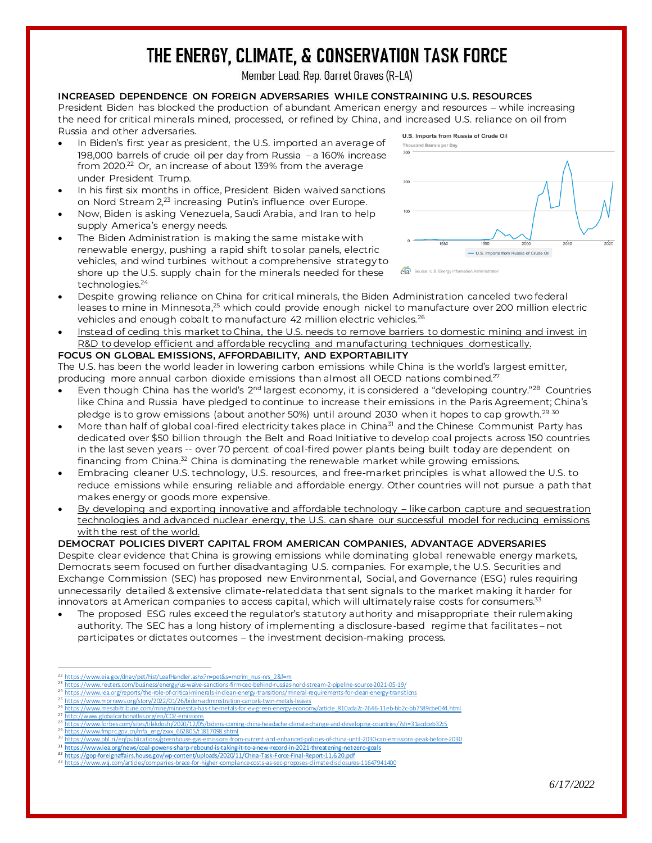# THE ENERGY, CLIMATE, & CONSERVATION TASK FORCE

Member Lead: Rep. Garret Graves (R-LA)

#### **INCREASED DEPENDENCE ON FOREIGN ADVERSARIES WHILE CONSTRAINING U.S. RESOURCES**

President Biden has blocked the production of abundant American energy and resources – while increasing the need for critical minerals mined, processed, or refined by China, and increased U.S. reliance on oil from Russia and other adversaries.

- In Biden's first year as president, the U.S. imported an average of 198,000 barrels of crude oil per day from Russia – a 160% increase from 2020.<sup>22</sup> Or, an increase of about 139% from the average under President Trump.
- In his first six months in office, President Biden waived sanctions on Nord Stream 2,<sup>23</sup> increasing Putin's influence over Europe.
- Now, Biden is asking Venezuela, Saudi Arabia, and Iran to help supply America's energy needs.
- The Biden Administration is making the same mistake with renewable energy, pushing a rapid shift to solar panels, electric vehicles, and wind turbines without a comprehensive strategy to shore up the U.S. supply chain for the minerals needed for these technologies.<sup>24</sup>



- Despite growing reliance on China for critical minerals, the Biden Administration canceled two federal leases to mine in Minnesota,<sup>25</sup> which could provide enough nickel to manufacture over 200 million electric vehicles and enough cobalt to manufacture 42 million electric vehicles.<sup>26</sup>
- Instead of ceding this market to China, the U.S. needs to remove barriers to domestic mining and invest in R&D to develop efficient and affordable recycling and manufacturing techniques domestically. **FOCUS ON GLOBAL EMISSIONS, AFFORDABILITY, AND EXPORTABILITY**

The U.S. has been the world leader in lowering carbon emissions while China is the world's largest emitter, producing more annual carbon dioxide emissions than almost all OECD nations combined.<sup>27</sup>

- Even though China has the world's  $2^{nd}$  largest economy, it is considered a "developing country."<sup>28</sup> Countries like China and Russia have pledged to continue to increase their emissions in the Paris Agreement; China's pledge is to grow emissions (about another 50%) until around 2030 when it hopes to cap growth.<sup>29 30</sup>
- More than half of global coal-fired electricity takes place in China<sup>31</sup> and the Chinese Communist Party has dedicated over \$50 billion through the Belt and Road Initiative to develop coal projects across 150 countries in the last seven years -- over 70 percent of coal-fired power plants being built today are dependent on financing from China.<sup>32</sup> China is dominating the renewable market while growing emissions.
- Embracing cleaner U.S. technology, U.S. resources, and free-market principles is what allowed the U.S. to reduce emissions while ensuring reliable and affordable energy. Other countries will not pursue a path that makes energy or goods more expensive.
- By developing and exporting innovative and affordable technology like carbon capture and sequestration technologies and advanced nuclear energy, the U.S. can share our successful model for reducing emissions with the rest of the world.

#### **DEMOCRAT POLICIES DIVERT CAPITAL FROM AMERICAN COMPANIES, ADVANTAGE ADVERSARIES**

Despite clear evidence that China is growing emissions while dominating global renewable energy markets, Democrats seem focused on further disadvantaging U.S. companies. For example, the U.S. Securities and Exchange Commission (SEC) has proposed new Environmental, Social, and Governance (ESG) rules requiring unnecessarily detailed & extensive climate-related data that sent signals to the market making it harder for innovators at American companies to access capital, which will ultimately raise costs for consumers. $^{\text{33}}$ 

• The proposed ESG rules exceed the regulator's statutory authority and misappropriate their rulemaking authority. The SEC has a long history of implementing a disclosure-based regime that facilitates – not participates or dictates outcomes – the investment decision-making process.

- <sup>23</sup> https://www.reuters.com/business/energy/us-waive-sanctions-firm-ceo-behind-russias-
- 24 <https://www.iea.org/reports/the-role-of-critical-minerals-in-clean-energy-transitions/mineral-requirements-for-clean-energy-transitions><br>25 https://www.iea.org/reports/the-role-of-critical-minerals-in-clean-energy-transi  $^{25}$  https://www.mprnews.org/story/2022/01/26/biden-administration-cancels-twin-metals-lease
- <sup>26</sup> [https://www.mesabitribune.com/mine/minnesota-has-the-metals-for-ev-green-energy-economy/article\\_810ada2c-7646-11eb-bb2c-bb7589cbe044.html](https://www.mesabitribune.com/mine/minnesota-has-the-metals-for-ev-green-energy-economy/article_810ada2c-7646-11eb-bb2c-bb7589cbe044.html)<br>27 https://www.miabalassboecebooscoloo.com/con/contents
- <http://www.globalcarbonatlas.org/en/CO2-emissions><br>https://www.forbes.com/sites/tilakdoshi/2020/12/05/bidens 28 <https://www.forbes.com/sites/tilakdoshi/2020/12/05/bidens-coming-china-headache-climate-change-and-developing-countries/?sh=31acdceb32c5><br>28 https://www.forbes.com/sites/tilakdoshi/2020/12/05/bidens-coming-china-headache
- [https://www.fmprc.gov.cn/mfa\\_eng/zxxx\\_662805/t1817098.shtml](https://www.fmprc.gov.cn/mfa_eng/zxxx_662805/t1817098.shtml)
- <sup>30</sup> <https://www.pbl.nl/en/publications/greenhouse-gas-emissions-from-current-and-enhanced-policies-of-china-until-2030-can-emissions-peak-before-2030>
- $\frac{31 \text{ https://www.iea.org/news/coal-powers-sharp-rebound-is-taking-it-to-3-new-record-in-2021-theretering-net-zero-gals}}{21 \text{ https://www.iea.org/news/coal-power-s-sharp-pebound-is-taking-it-to-3-new-record-in-2021-theretering-net-zero-gals}}$ https://gop-foreignaffairs.house.gov/wp-content/uploads/2020/11/China-Task-Force-Final-Report-11.6.20.pd
- https://www.wsj.com/articles/companies-brace-for-higher-compliance-costs-as-sec-promoses-climate-disclosures-11647941400

<sup>&</sup>lt;sup>22</sup> [https://www.eia.gov/dnav/pet/hist/LeafHandler.ashx?n=pet&s=mcrim\\_nus-nrs\\_2&f=m](https://www.eia.gov/dnav/pet/hist/LeafHandler.ashx?n=pet&s=mcrim_nus-nrs_2&f=m)